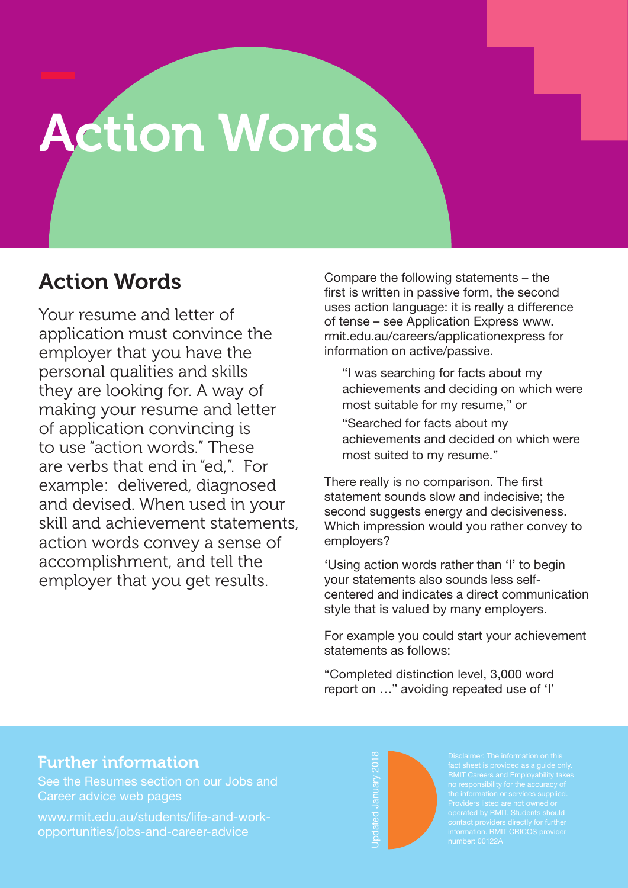## Action Words

## Action Words

Your resume and letter of application must convince the employer that you have the personal qualities and skills they are looking for. A way of making your resume and letter of application convincing is to use "action words." These are verbs that end in "ed,". For example: delivered, diagnosed and devised. When used in your skill and achievement statements, action words convey a sense of accomplishment, and tell the employer that you get results.

Compare the following statements – the first is written in passive form, the second uses action language: it is really a difference of tense – see Application Express www. rmit.edu.au/careers/applicationexpress for information on active/passive.

- "I was searching for facts about my achievements and deciding on which were most suitable for my resume," or
- "Searched for facts about my achievements and decided on which were most suited to my resume."

There really is no comparison. The first statement sounds slow and indecisive; the second suggests energy and decisiveness. Which impression would you rather convey to employers?

'Using action words rather than 'I' to begin your statements also sounds less selfcentered and indicates a direct communication style that is valued by many employers.

For example you could start your achievement statements as follows:

"Completed distinction level, 3,000 word report on …" avoiding repeated use of 'I'

## Further information

See the Resumes section on our Jobs and Career advice web pages

www.rmit.edu.au/students/life-and-workopportunities/jobs-and-career-advice



RMIT Careers and Employability takes no responsibility for the accuracy of operated by RMIT. Students should information. RMIT CRICOS provider